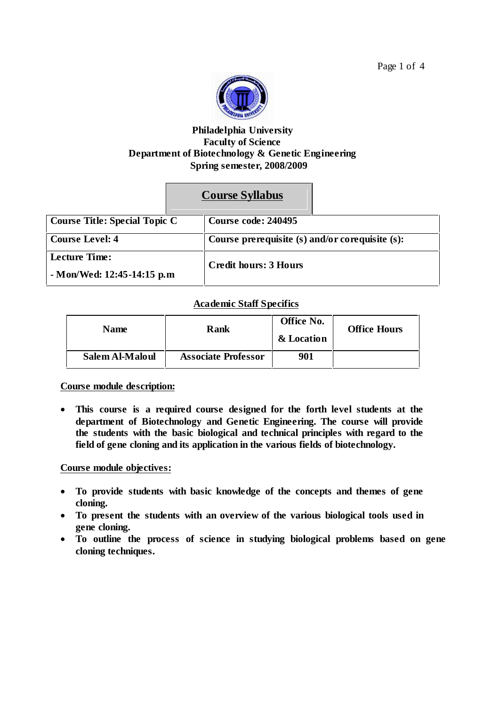

# **Philadelphia University Faculty of Science Department of Biotechnology & Genetic Engineering Spring semester, 2008/2009**

# **Course Syllabus**

| <b>Course Title: Special Topic C</b> |  | <b>Course code: 240495</b>                      |  |
|--------------------------------------|--|-------------------------------------------------|--|
| <b>Course Level: 4</b>               |  | Course prerequisite (s) and/or corequisite (s): |  |
| <b>Lecture Time:</b>                 |  | <b>Credit hours: 3 Hours</b>                    |  |
| - Mon/Wed: 12:45-14:15 p.m           |  |                                                 |  |

## **Academic Staff Specifics**

| <b>Name</b>     | Rank                       | Office No.<br>& Location | <b>Office Hours</b> |
|-----------------|----------------------------|--------------------------|---------------------|
| Salem Al-Maloul | <b>Associate Professor</b> | 901                      |                     |

**Course module description:**

 **This course is a required course designed for the forth level students at the department of Biotechnology and Genetic Engineering. The course will provide the students with the basic biological and technical principles with regard to the field of gene cloning and its application in the various fields of biotechnology.**

## **Course module objectives:**

- **To provide students with basic knowledge of the concepts and themes of gene cloning.**
- **To present the students with an overview of the various biological tools used in gene cloning.**
- **To outline the process of science in studying biological problems based on gene cloning techniques.**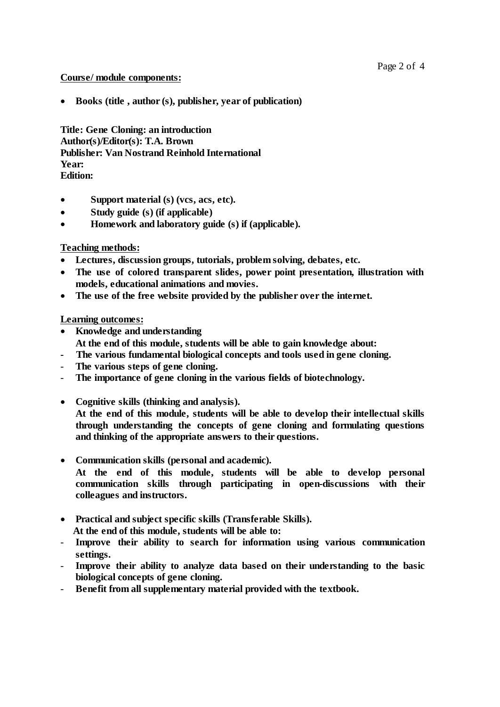## **Course/ module components:**

**Books (title , author (s), publisher, year of publication)**

**Title: Gene Cloning: an introduction Author(s)/Editor(s): T.A. Brown Publisher: Van Nostrand Reinhold International Year: Edition:**

- **Support material (s) (vcs, acs, etc).**
- **Study guide (s) (if applicable)**
- **Homework and laboratory guide (s) if (applicable).**

## **Teaching methods:**

- **Lectures, discussion groups, tutorials, problem solving, debates, etc.**
- **The use of colored transparent slides, power point presentation, illustration with models, educational animations and movies.**
- **The use of the free website provided by the publisher over the internet.**

## **Learning outcomes:**

- **Knowledge and understanding At the end of this module, students will be able to gain knowledge about:**
- **- The various fundamental biological concepts and tools used in gene cloning.**
- **The various steps of gene cloning.**
- **The importance of gene cloning in the various fields of biotechnology.**
- **Cognitive skills (thinking and analysis).**

**At the end of this module, students will be able to develop their intellectual skills through understanding the concepts of gene cloning and formulating questions and thinking of the appropriate answers to their questions.**

**Communication skills (personal and academic).**

**At the end of this module, students will be able to develop personal communication skills through participating in open-discussions with their colleagues and instructors.**

- **Practical and subject specific skills (Transferable Skills). At the end of this module, students will be able to:**
- **Improve their ability to search for information using various communication**
- **settings.** - **Improve their ability to analyze data based on their understanding to the basic**
- **biological concepts of gene cloning.**
- **Benefit from all supplementary material provided with the textbook.**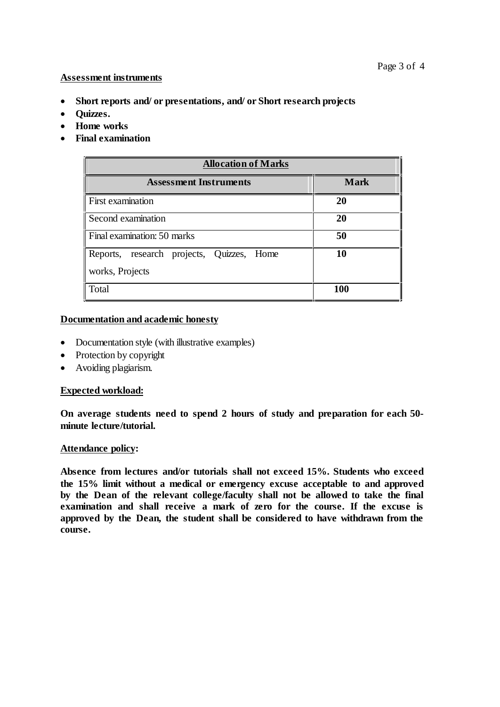#### **Assessment instruments**

- **Short reports and/ or presentations, and/ or Short research projects**
- **•** Ouizzes.
- **Home works**
- **Final examination**

| <b>Allocation of Marks</b>                                   |             |  |  |  |
|--------------------------------------------------------------|-------------|--|--|--|
| <b>Assessment Instruments</b>                                | <b>Mark</b> |  |  |  |
| <b>First examination</b>                                     | 20          |  |  |  |
| Second examination                                           | 20          |  |  |  |
| Final examination: 50 marks                                  | 50          |  |  |  |
| Reports, research projects, Quizzes, Home<br>works, Projects | 10          |  |  |  |
| Total                                                        | 100         |  |  |  |

#### **Documentation and academic honesty**

- Documentation style (with illustrative examples)
- Protection by copyright
- Avoiding plagiarism.

## **Expected workload:**

**On average students need to spend 2 hours of study and preparation for each 50 minute lecture/tutorial.**

#### **Attendance policy:**

**Absence from lectures and/or tutorials shall not exceed 15%. Students who exceed the 15% limit without a medical or emergency excuse acceptable to and approved by the Dean of the relevant college/faculty shall not be allowed to take the final examination and shall receive a mark of zero for the course. If the excuse is approved by the Dean, the student shall be considered to have withdrawn from the course.**